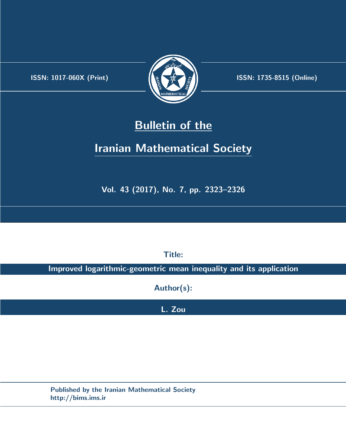.



**ISSN:** 1017-060X (Print) **ISSN:** 1735-8515 (Online)

## **Bulletin of the**

# **Iranian Mathematical Society**

**Vol. 43 (2017), No. 7, pp. 2323–2326**

**Title:**

**Improved logarithmic-geometric mean inequality and its application**

**Author(s):**

**L. Zou**

**Published by the Iranian Mathematical Society http://bims.ims.ir**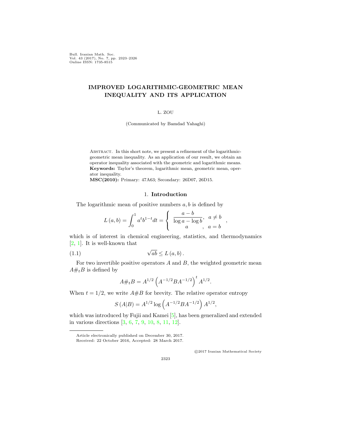Bull. Iranian Math. Soc. Vol. 43 (2017), No. 7, pp. 2323–2326 Online ISSN: 1735-8515

### **IMPROVED LOGARITHMIC-GEOMETRIC MEAN INEQUALITY AND ITS APPLICATION**

#### L. ZOU

(Communicated by Bamdad Yahaghi)

ABSTRACT. In this short note, we present a refinement of the logarithmicgeometric mean inequality. As an application of our result, we obtain an operator inequality associated with the geometric and logarithmic means. **Keywords:** Taylor's theorem, logarithmic mean, geometric mean, operator inequality.

**MSC(2010):** Primary: 47A63; Secondary: 26D07, 26D15.

#### 1. **Introduction**

The logarithmic mean of positive numbers *a, b* is defined by

$$
L(a,b) = \int_0^1 a^t b^{1-t} dt = \begin{cases} \frac{a-b}{\log a - \log b}, & a \neq b \\ a, & a = b \end{cases}
$$

which is of interest in chemical engineering, statistics, and thermodynamics [[2,](#page-4-0) [1\]](#page-4-1). It is well-known that

$$
(1.1) \t\t \sqrt{ab} \le L(a, b).
$$

For two invertible positive operators *A* and *B*, the weighted geometric mean  $A#_tB$  is defined by

<span id="page-1-0"></span>
$$
A \#_t B = A^{1/2} \left( A^{-1/2} B A^{-1/2} \right)^t A^{1/2}.
$$

When  $t = 1/2$ , we write  $A \# B$  for brevity. The relative operator entropy

$$
S(A|B) = A^{1/2} \log \left( A^{-1/2} B A^{-1/2} \right) A^{1/2},
$$

which was introduced by Fujii and Kamei [\[5](#page-4-2)], has been generalized and extended in various directions [[3,](#page-4-3) [6](#page-4-4), [7](#page-4-5), [9](#page-4-6), [10](#page-4-7), [8](#page-4-8), [11](#page-4-9), [12](#page-4-10)].

*⃝*c 2017 Iranian Mathematical Society

Article electronically published on December 30, 2017. Received: 22 October 2016, Accepted: 28 March 2017.

<sup>2323</sup>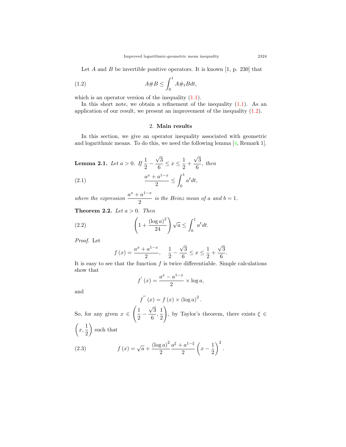Let *A* and *B* be invertible positive operators. It is known [1, p. 230] that

$$
(1.2)\qquad \qquad A \# B \le \int_0^1 A \#_t B dt,
$$

which is an operator version of the inequality  $(1.1)$  $(1.1)$ .

In this short note, we obtain a refinement of the inequality  $(1.1)$  $(1.1)$ . As an application of our result, we present an improvement of the inequality ([1.2](#page-2-0)).

### <span id="page-2-1"></span><span id="page-2-0"></span>2. **Main results**

In this section, we give an operator inequality associated with geometric and logarithmic means. To do this, we need the following lemma [\[4](#page-4-11), Remark 1].

**Lemma 2.1.** *Let*  $a > 0$ *. If*  $\frac{1}{2}$  – *√* 3  $\frac{\sqrt{3}}{6} \leq x \leq \frac{1}{2}$  $\frac{1}{2}$  + *√* 3  $\frac{6}{6}$ , then

(2.1) 
$$
\frac{a^x + a^{1-x}}{2} \le \int_0^1 a^t dt,
$$

*where the expression*  $\frac{a^x + a^{1-x}}{2}$  $\frac{a}{2}$  is the Heinz mean of a and  $b = 1$ .

**Theorem 2.2.** *Let a >* 0*. Then*

(2.2) 
$$
\left(1+\frac{(\log a)^2}{24}\right)\sqrt{a} \le \int_0^1 a^t dt.
$$

*Proof.* Let

<span id="page-2-3"></span>
$$
f(x) = \frac{a^x + a^{1-x}}{2}, \quad \frac{1}{2} - \frac{\sqrt{3}}{6} \le x \le \frac{1}{2} + \frac{\sqrt{3}}{6}.
$$

It is easy to see that the function  $f$  is twice differentiable. Simple calculations show that

$$
f'(x) = \frac{a^x - a^{1-x}}{2} \times \log a,
$$

and

$$
f^{''}(x) = f(x) \times (\log a)^{2}.
$$

So, for any given  $x \in$  $\sqrt{1}$ 2 *− √* 3  $\frac{\sqrt{3}}{6},\frac{1}{2}$ 2  $\setminus$ , by Taylor's theorem, there exists  $\xi \in$  $\sqrt{2}$  $\frac{1}{x}$ 2  $\setminus$ such that

<span id="page-2-2"></span>(2.3) 
$$
f(x) = \sqrt{a} + \frac{(\log a)^2}{2} \frac{a^{\xi} + a^{1-\xi}}{2} \left(x - \frac{1}{2}\right)^2.
$$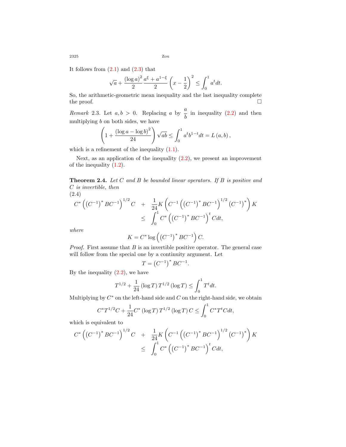It follows from  $(2.1)$  $(2.1)$  and  $(2.3)$  that

$$
\sqrt{a} + \frac{(\log a)^2}{2} \frac{a^{\xi} + a^{1-\xi}}{2} \left( x - \frac{1}{2} \right)^2 \le \int_0^1 a^t dt.
$$

So, the arithmetic-geometric mean inequality and the last inequality complete the proof.  $\hfill \square$ 

*Remark* 2.3. Let  $a, b > 0$ . Replacing *a* by  $\frac{a}{b}$  in inequality ([2.2](#page-2-3)) and then multiplying *b* on both sides, we have

$$
\left(1 + \frac{(\log a - \log b)^2}{24}\right)\sqrt{ab} \le \int_0^1 a^t b^{1-t} dt = L(a, b),
$$

which is a refinement of the inequality  $(1.1)$  $(1.1)$ .

Next, as an application of the inequality ([2.2\)](#page-2-3), we present an improvement of the inequality ([1.2](#page-2-0)).

**Theorem 2.4.** *Let C and B be bounded linear operators. If B is positive and C is invertible, then*

<span id="page-3-0"></span>
$$
(2.4)
$$
\n
$$
C^* ((C^{-1})^* BC^{-1})^{1/2} C + \frac{1}{24} K \left( C^{-1} ((C^{-1})^* BC^{-1})^{1/2} (C^{-1})^* \right) K
$$
\n
$$
\leq \int_0^1 C^* ((C^{-1})^* BC^{-1})^t C dt,
$$

*where*

$$
K=C^*\log\left(\left(C^{-1}\right)^*BC^{-1}\right)C.
$$

*Proof.* First assume that *B* is an invertible positive operator. The general case will follow from the special one by a continuity argument. Let

$$
T = \left(C^{-1}\right)^{*} B C^{-1}.
$$

By the inequality  $(2.2)$  $(2.2)$ , we have

$$
T^{1/2} + \frac{1}{24} \left( \log T \right) T^{1/2} \left( \log T \right) \le \int_0^1 T^t dt.
$$

Multiplying by  $C^*$  on the left-hand side and  $C$  on the right-hand side, we obtain

$$
C^*T^{1/2}C + \frac{1}{24}C^* \left(\log T\right)T^{1/2} \left(\log T\right)C \le \int_0^1 C^*T^t C dt,
$$

which is equivalent to

$$
C^* \left( \left( C^{-1} \right)^* B C^{-1} \right)^{1/2} C \quad + \quad \frac{1}{24} K \left( C^{-1} \left( \left( C^{-1} \right)^* B C^{-1} \right)^{1/2} \left( C^{-1} \right)^* \right) K \\ \leq \quad \int_0^1 C^* \left( \left( C^{-1} \right)^* B C^{-1} \right)^t C dt,
$$

 $2325$   $Z_{\text{ou}}$